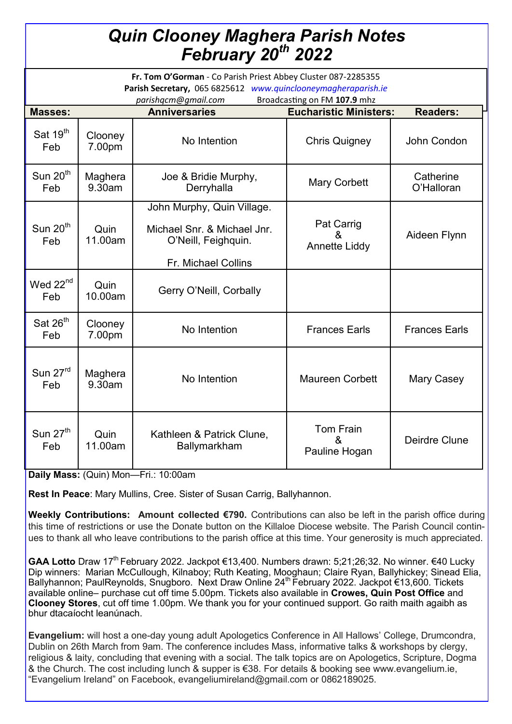## *Quin Clooney Maghera Parish Notes February 20th 2022*

| Fr. Tom O'Gorman - Co Parish Priest Abbey Cluster 087-2285355<br>Parish Secretary, 065 6825612 www.quinclooneymagheraparish.ie<br>Broadcasting on FM 107.9 mhz<br>parishqcm@gmail.com |                   |                                                    |                                         |                         |
|---------------------------------------------------------------------------------------------------------------------------------------------------------------------------------------|-------------------|----------------------------------------------------|-----------------------------------------|-------------------------|
| <b>Masses:</b>                                                                                                                                                                        |                   | <b>Anniversaries</b>                               | <b>Eucharistic Ministers:</b>           | <b>Readers:</b>         |
|                                                                                                                                                                                       |                   |                                                    |                                         |                         |
| Sat 19 <sup>th</sup><br>Feb                                                                                                                                                           | Clooney<br>7.00pm | No Intention                                       | <b>Chris Quigney</b>                    | John Condon             |
| Sun $20th$<br>Feb                                                                                                                                                                     | Maghera<br>9.30am | Joe & Bridie Murphy,<br>Derryhalla                 | <b>Mary Corbett</b>                     | Catherine<br>O'Halloran |
|                                                                                                                                                                                       |                   | John Murphy, Quin Village.                         |                                         |                         |
| Sun $20th$<br>Feb                                                                                                                                                                     | Quin<br>11.00am   | Michael Snr. & Michael Jnr.<br>O'Neill, Feighquin. | Pat Carrig<br>&<br><b>Annette Liddy</b> | Aideen Flynn            |
|                                                                                                                                                                                       |                   | Fr. Michael Collins                                |                                         |                         |
| Wed 22 <sup>nd</sup><br>Feb                                                                                                                                                           | Quin<br>10.00am   | Gerry O'Neill, Corbally                            |                                         |                         |
| Sat 26 <sup>th</sup><br>Feb                                                                                                                                                           | Clooney<br>7.00pm | No Intention                                       | <b>Frances Earls</b>                    | <b>Frances Earls</b>    |
| Sun 27rd<br>Feb                                                                                                                                                                       | Maghera<br>9.30am | No Intention                                       | <b>Maureen Corbett</b>                  | Mary Casey              |
| Sun $27th$<br>Feb                                                                                                                                                                     | Quin<br>11.00am   | Kathleen & Patrick Clune,<br>Ballymarkham          | Tom Frain<br>ጼ<br>Pauline Hogan         | Deirdre Clune           |

**Daily Mass:** (Quin) Mon—Fri.: 10:00am

**Rest In Peace**: Mary Mullins, Cree. Sister of Susan Carrig, Ballyhannon.

**Weekly Contributions: Amount collected €790.** Contributions can also be left in the parish office during this time of restrictions or use the Donate button on the Killaloe Diocese website. The Parish Council continues to thank all who leave contributions to the parish office at this time. Your generosity is much appreciated.

GAA Lotto Draw 17<sup>th</sup> February 2022. Jackpot €13,400. Numbers drawn: 5;21;26;32. No winner. €40 Lucky Dip winners: Marian McCullough, Kilnaboy; Ruth Keating, Mooghaun; Claire Ryan, Ballyhickey; Sinead Elia, Ballyhannon; PaulReynolds, Snugboro. Next Draw Online 24<sup>th</sup> February 2022. Jackpot €13,600. Tickets available online– purchase cut off time 5.00pm. Tickets also available in **Crowes, Quin Post Office** and **Clooney Stores**, cut off time 1.00pm. We thank you for your continued support. Go raith maith agaibh as bhur dtacaíocht leanúnach.

**Evangelium:** will host a one-day young adult Apologetics Conference in All Hallows' College, Drumcondra, Dublin on 26th March from 9am. The conference includes Mass, informative talks & workshops by clergy, religious & laity, concluding that evening with a social. The talk topics are on Apologetics, Scripture, Dogma & the Church. The cost including lunch & supper is €38. For details & booking see www.evangelium.ie, "Evangelium Ireland" on Facebook, [evangeliumireland@gmail.com](mailto:evangeliumireland@gmail.com) or 0862189025.